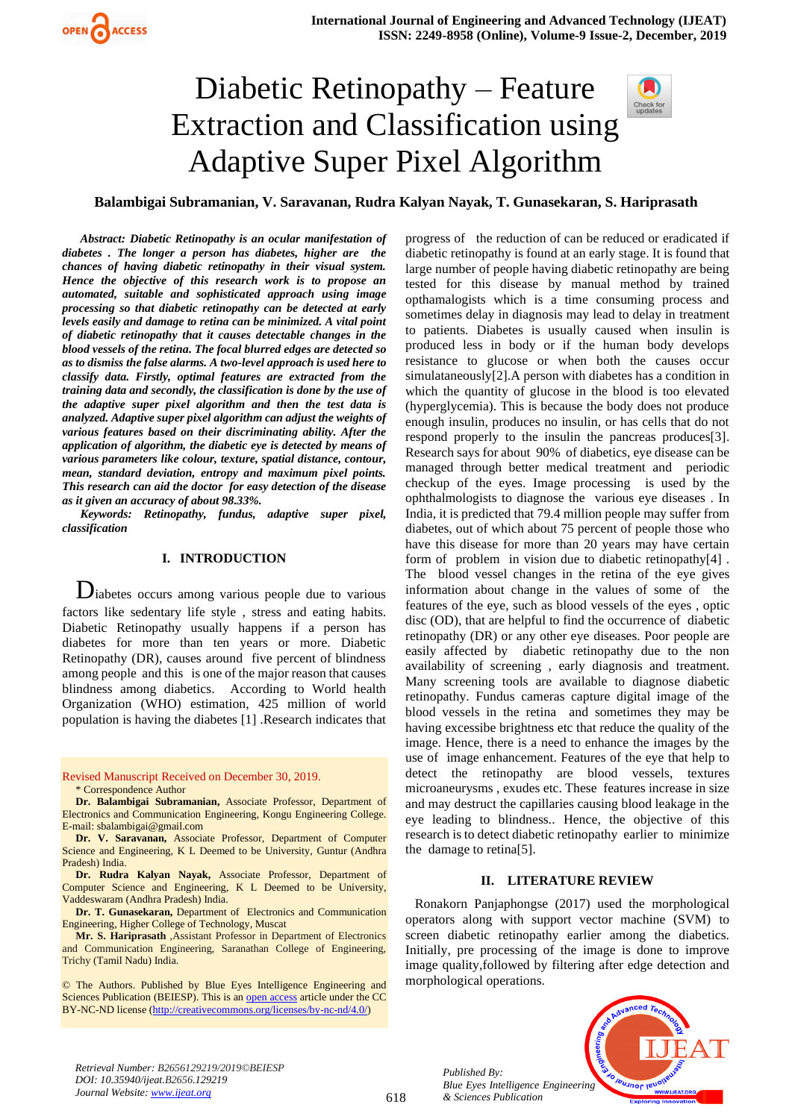# Diabetic Retinopathy – Feature Extraction and Classification using Adaptive Super Pixel Algorithm



**Balambigai Subramanian, V. Saravanan, Rudra Kalyan Nayak, T. Gunasekaran, S. Hariprasath**

*Abstract: Diabetic Retinopathy is an ocular manifestation of diabetes . The longer a person has diabetes, higher are the chances of having diabetic retinopathy in their visual system. Hence the objective of this research work is to propose an automated, suitable and sophisticated approach using image processing so that diabetic retinopathy can be detected at early levels easily and damage to retina can be minimized. A vital point of diabetic retinopathy that it causes detectable changes in the blood vessels of the retina. The focal blurred edges are detected so as to dismiss the false alarms. A two-level approach is used here to classify data. Firstly, optimal features are extracted from the training data and secondly, the classification is done by the use of the adaptive super pixel algorithm and then the test data is analyzed. Adaptive super pixel algorithm can adjust the weights of various features based on their discriminating ability. After the application of algorithm, the diabetic eye is detected by means of various parameters like colour, texture, spatial distance, contour, mean, standard deviation, entropy and maximum pixel points. This research can aid the doctor for easy detection of the disease as it given an accuracy of about 98.33%.*

*Keywords: Retinopathy, fundus, adaptive super pixel, classification*

## **I. INTRODUCTION**

 Diabetes occurs among various people due to various factors like sedentary life style , stress and eating habits. Diabetic Retinopathy usually happens if a person has diabetes for more than ten years or more. Diabetic Retinopathy (DR), causes around five percent of blindness among people and this is one of the major reason that causes blindness among diabetics. According to World health Organization (WHO) estimation, 425 million of world population is having the diabetes [1] .Research indicates that

Revised Manuscript Received on December 30, 2019. \* Correspondence Author

**Dr. Balambigai Subramanian,** Associate Professor, Department of Electronics and Communication Engineering, Kongu Engineering College. E-mail: sbalambigai@gmail.com

**Dr. V. Saravanan,** Associate Professor, Department of Computer Science and Engineering, K L Deemed to be University, Guntur (Andhra Pradesh) India.

**Dr. Rudra Kalyan Nayak,** Associate Professor, Department of Computer Science and Engineering, K L Deemed to be University, Vaddeswaram (Andhra Pradesh) India.

**Dr. T. Gunasekaran,** Department of Electronics and Communication Engineering, Higher College of Technology, Muscat

**Mr. S. Hariprasath** ,Assistant Professor in Department of Electronics and Communication Engineering, Saranathan College of Engineering, Trichy (Tamil Nadu) India.

© The Authors. Published by Blue Eyes Intelligence Engineering and Sciences Publication (BEIESP). This is a[n open access](https://www.openaccess.nl/en/open-publications) article under the CC BY-NC-ND license [\(http://creativecommons.org/licenses/by-nc-nd/4.0/\)](http://creativecommons.org/licenses/by-nc-nd/4.0/)

progress of the reduction of can be reduced or eradicated if diabetic retinopathy is found at an early stage. It is found that large number of people having diabetic retinopathy are being tested for this disease by manual method by trained opthamalogists which is a time consuming process and sometimes delay in diagnosis may lead to delay in treatment to patients. Diabetes is usually caused when insulin is produced less in body or if the human body develops resistance to glucose or when both the causes occur simulataneously[2].A person with diabetes has a condition in which the quantity of glucose in the blood is too elevated (hyperglycemia). This is because the body does not produce enough insulin, produces no insulin, or has cells that do not respond properly to the insulin the pancreas produces[3]. Research says for about 90% of diabetics, eye disease can be managed through better medical treatment and periodic checkup of the eyes. Image processing is used by the ophthalmologists to diagnose the various eye diseases . In India, it is predicted that 79.4 million people may suffer from diabetes, out of which about 75 percent of people those who have this disease for more than 20 years may have certain form of problem in vision due to diabetic retinopathy[4] . The blood vessel changes in the retina of the eye gives information about change in the values of some of the features of the eye, such as blood vessels of the eyes , optic disc (OD), that are helpful to find the occurrence of diabetic retinopathy (DR) or any other eye diseases. Poor people are easily affected by diabetic retinopathy due to the non availability of screening , early diagnosis and treatment. Many screening tools are available to diagnose diabetic retinopathy. Fundus cameras capture digital image of the blood vessels in the retina and sometimes they may be having excessibe brightness etc that reduce the quality of the image. Hence, there is a need to enhance the images by the use of image enhancement. Features of the eye that help to detect the retinopathy are blood vessels, textures microaneurysms , exudes etc. These features increase in size and may destruct the capillaries causing blood leakage in the eye leading to blindness.. Hence, the objective of this research is to detect diabetic retinopathy earlier to minimize the damage to retina[5].

#### **II. LITERATURE REVIEW**

Ronakorn Panjaphongse (2017) used the morphological operators along with support vector machine (SVM) to screen diabetic retinopathy earlier among the diabetics. Initially, pre processing of the image is done to improve image quality,followed by filtering after edge detection and morphological operations.



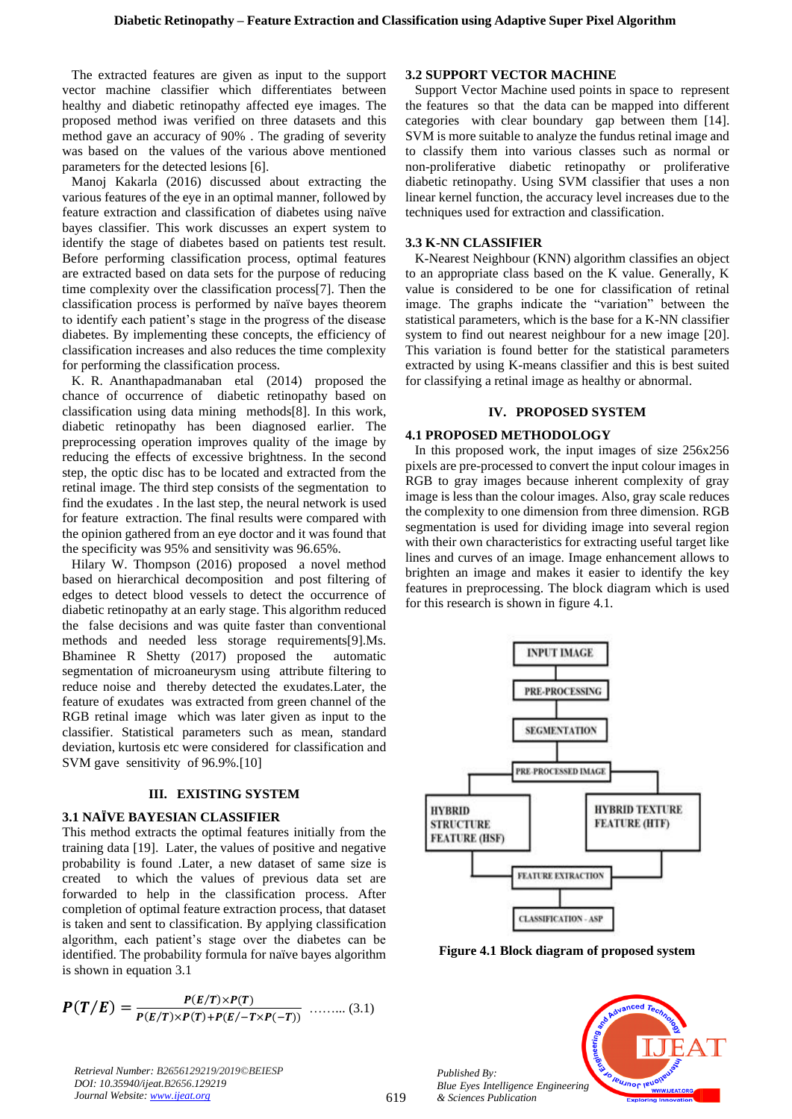The extracted features are given as input to the support vector machine classifier which differentiates between healthy and diabetic retinopathy affected eye images. The proposed method iwas verified on three datasets and this method gave an accuracy of 90% . The grading of severity was based on the values of the various above mentioned parameters for the detected lesions [6].

Manoj Kakarla (2016) discussed about extracting the various features of the eye in an optimal manner, followed by feature extraction and classification of diabetes using naïve bayes classifier. This work discusses an expert system to identify the stage of diabetes based on patients test result. Before performing classification process, optimal features are extracted based on data sets for the purpose of reducing time complexity over the classification process[7]. Then the classification process is performed by naïve bayes theorem to identify each patient's stage in the progress of the disease diabetes. By implementing these concepts, the efficiency of classification increases and also reduces the time complexity for performing the classification process.

K. R. Ananthapadmanaban etal (2014) proposed the chance of occurrence of diabetic retinopathy based on classification using data mining methods[8]. In this work, diabetic retinopathy has been diagnosed earlier. The preprocessing operation improves quality of the image by reducing the effects of excessive brightness. In the second step, the optic disc has to be located and extracted from the retinal image. The third step consists of the segmentation to find the exudates . In the last step, the neural network is used for feature extraction. The final results were compared with the opinion gathered from an eye doctor and it was found that the specificity was 95% and sensitivity was 96.65%.

Hilary W. Thompson (2016) proposed a novel method based on hierarchical decomposition and post filtering of edges to detect blood vessels to detect the occurrence of diabetic retinopathy at an early stage. This algorithm reduced the false decisions and was quite faster than conventional methods and needed less storage requirements[9].Ms. Bhaminee R Shetty (2017) proposed the automatic segmentation of microaneurysm using attribute filtering to reduce noise and thereby detected the exudates.Later, the feature of exudates was extracted from green channel of the RGB retinal image which was later given as input to the classifier. Statistical parameters such as mean, standard deviation, kurtosis etc were considered for classification and SVM gave sensitivity of 96.9%.[10]

# **III. EXISTING SYSTEM**

# **3.1 NAÏVE BAYESIAN CLASSIFIER**

This method extracts the optimal features initially from the training data [19]. Later, the values of positive and negative probability is found .Later, a new dataset of same size is created to which the values of previous data set are forwarded to help in the classification process. After completion of optimal feature extraction process, that dataset is taken and sent to classification. By applying classification algorithm, each patient's stage over the diabetes can be identified. The probability formula for naïve bayes algorithm is shown in equation 3.1

$$
P(T/E) = \frac{P(E/T) \times P(T)}{P(E/T) \times P(T) + P(E/-T \times P(-T))}
$$
 ...... (3.1)

*Retrieval Number: B2656129219/2019©BEIESP DOI: 10.35940/ijeat.B2656.129219 Journal Website: [www.ijeat.org](http://www.ijeat.org/)*

# **3.2 SUPPORT VECTOR MACHINE**

Support Vector Machine used points in space to represent the features so that the data can be mapped into different categories with clear boundary gap between them [14]. SVM is more suitable to analyze the fundus retinal image and to classify them into various classes such as normal or non-proliferative diabetic retinopathy or proliferative diabetic retinopathy. Using SVM classifier that uses a non linear kernel function, the accuracy level increases due to the techniques used for extraction and classification.

# **3.3 K-NN CLASSIFIER**

K-Nearest Neighbour (KNN) algorithm classifies an object to an appropriate class based on the K value. Generally, K value is considered to be one for classification of retinal image. The graphs indicate the "variation" between the statistical parameters, which is the base for a K-NN classifier system to find out nearest neighbour for a new image [20]. This variation is found better for the statistical parameters extracted by using K-means classifier and this is best suited for classifying a retinal image as healthy or abnormal.

## **IV. PROPOSED SYSTEM**

# **4.1 PROPOSED METHODOLOGY**

In this proposed work, the input images of size 256x256 pixels are pre-processed to convert the input colour images in RGB to gray images because inherent complexity of gray image is less than the colour images. Also, gray scale reduces the complexity to one dimension from three dimension. RGB segmentation is used for dividing image into several region with their own characteristics for extracting useful target like lines and curves of an image. Image enhancement allows to brighten an image and makes it easier to identify the key features in preprocessing. The block diagram which is used for this research is shown in figure 4.1.



**Figure 4.1 Block diagram of proposed system**

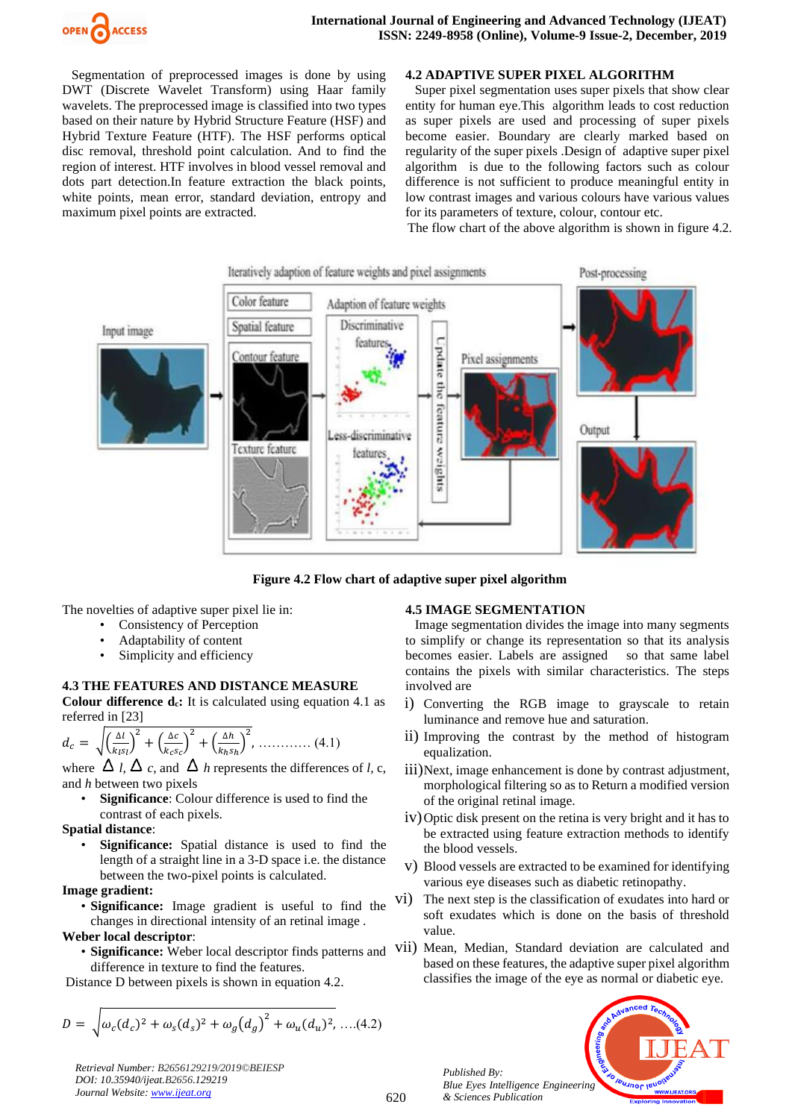

Segmentation of preprocessed images is done by using DWT (Discrete Wavelet Transform) using Haar family wavelets. The preprocessed image is classified into two types based on their nature by Hybrid Structure Feature (HSF) and Hybrid Texture Feature (HTF). The HSF performs optical disc removal, threshold point calculation. And to find the region of interest. HTF involves in blood vessel removal and dots part detection.In feature extraction the black points, white points, mean error, standard deviation, entropy and maximum pixel points are extracted.

## **4.2 ADAPTIVE SUPER PIXEL ALGORITHM**

Super pixel segmentation uses super pixels that show clear entity for human eye.This algorithm leads to cost reduction as super pixels are used and processing of super pixels become easier. Boundary are clearly marked based on regularity of the super pixels .Design of adaptive super pixel algorithm is due to the following factors such as colour difference is not sufficient to produce meaningful entity in low contrast images and various colours have various values for its parameters of texture, colour, contour etc.

The flow chart of the above algorithm is shown in figure 4.2.



**Figure 4.2 Flow chart of adaptive super pixel algorithm**

The novelties of adaptive super pixel lie in:

- Consistency of Perception
- Adaptability of content
- Simplicity and efficiency

# **4.3 THE FEATURES AND DISTANCE MEASURE**

**Colour difference <b>d**<sub>c</sub>: It is calculated using equation 4.1 as referred in [23]

$$
d_c = \sqrt{\left(\frac{\Delta l}{k_l s_l}\right)^2 + \left(\frac{\Delta c}{k_c s_c}\right)^2 + \left(\frac{\Delta h}{k_h s_h}\right)^2}, \dots \dots \dots \dots \dots \dots \tag{4.1}
$$

where  $\Delta$  *l,*  $\Delta$  *c,* and  $\Delta$  *h* represents the differences of *l,* c, and *h* between two pixels

Significance: Colour difference is used to find the contrast of each pixels.

#### **Spatial distance**:

• **Significance:** Spatial distance is used to find the length of a straight line in a 3-D space i.e. the distance between the two-pixel points is calculated.

#### **Image gradient:**

• **Significance:** Image gradient is useful to find the changes in directional intensity of an retinal image .

#### **Weber local descriptor**:

difference in texture to find the features.

Distance D between pixels is shown in equation 4.2.

$$
D = \sqrt{\omega_c (d_c)^2 + \omega_s (d_s)^2 + \omega_g (d_g)^2 + \omega_u (d_u)^2}, \dots (4.2)
$$

*Retrieval Number: B2656129219/2019©BEIESP DOI: 10.35940/ijeat.B2656.129219 Journal Website[: www.ijeat.org](http://www.ijeat.org/)*

# **4.5 IMAGE SEGMENTATION**

Image segmentation divides the image into many segments to simplify or change its representation so that its analysis becomes easier. Labels are assigned so that same label contains the pixels with similar characteristics. The steps involved are

- i) Converting the RGB image to grayscale to retain luminance and remove hue and saturation.
- ii) Improving the contrast by the method of histogram equalization.
- iii)Next, image enhancement is done by contrast adjustment, morphological filtering so as to Return a modified version of the original retinal image.
- iv)Optic disk present on the retina is very bright and it has to be extracted using feature extraction methods to identify the blood vessels.
- v) Blood vessels are extracted to be examined for identifying various eye diseases such as diabetic retinopathy.
- vi) The next step is the classification of exudates into hard or soft exudates which is done on the basis of threshold value.
- **Significance:** Weber local descriptor finds patterns and VII) Mean, Median, Standard deviation are calculated and based on these features, the adaptive super pixel algorithm classifies the image of the eye as normal or diabetic eye.

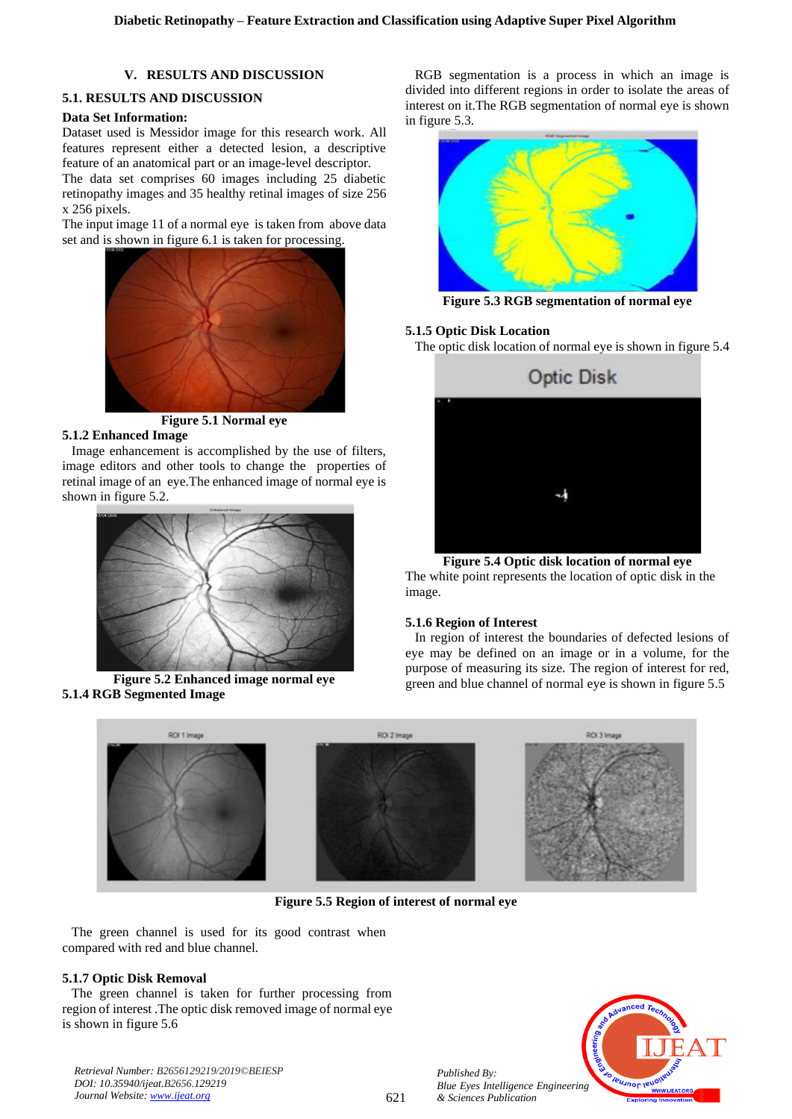# **V. RESULTS AND DISCUSSION**

# **5.1. RESULTS AND DISCUSSION**

# **Data Set Information:**

Dataset used is Messidor image for this research work. All features represent either a detected lesion, a descriptive feature of an anatomical part or an image-level descriptor.

The data set comprises 60 images including 25 diabetic retinopathy images and 35 healthy retinal images of size 256 x 256 pixels.

The input image 11 of a normal eye is taken from above data set and is shown in figure 6.1 is taken for processing.



**Figure 5.1 Normal eye 5.1.2 Enhanced Image**

Image enhancement is accomplished by the use of filters, image editors and other tools to change the properties of retinal image of an eye.The enhanced image of normal eye is shown in figure 5.2.



**Figure 5.2 Enhanced image normal eye 5.1.4 RGB Segmented Image**

RGB segmentation is a process in which an image is divided into different regions in order to isolate the areas of interest on it.The RGB segmentation of normal eye is shown in figure 5.3.



**Figure 5.3 RGB segmentation of normal eye**

# **5.1.5 Optic Disk Location**

The optic disk location of normal eye is shown in figure 5.4



**Figure 5.4 Optic disk location of normal eye**

The white point represents the location of optic disk in the image.

# **5.1.6 Region of Interest**

In region of interest the boundaries of defected lesions of eye may be defined on an image or in a volume, for the purpose of measuring its size. The region of interest for red, green and blue channel of normal eye is shown in figure 5.5



**Figure 5.5 Region of interest of normal eye**

The green channel is used for its good contrast when compared with red and blue channel.

# **5.1.7 Optic Disk Removal**

The green channel is taken for further processing from region of interest .The optic disk removed image of normal eye is shown in figure 5.6

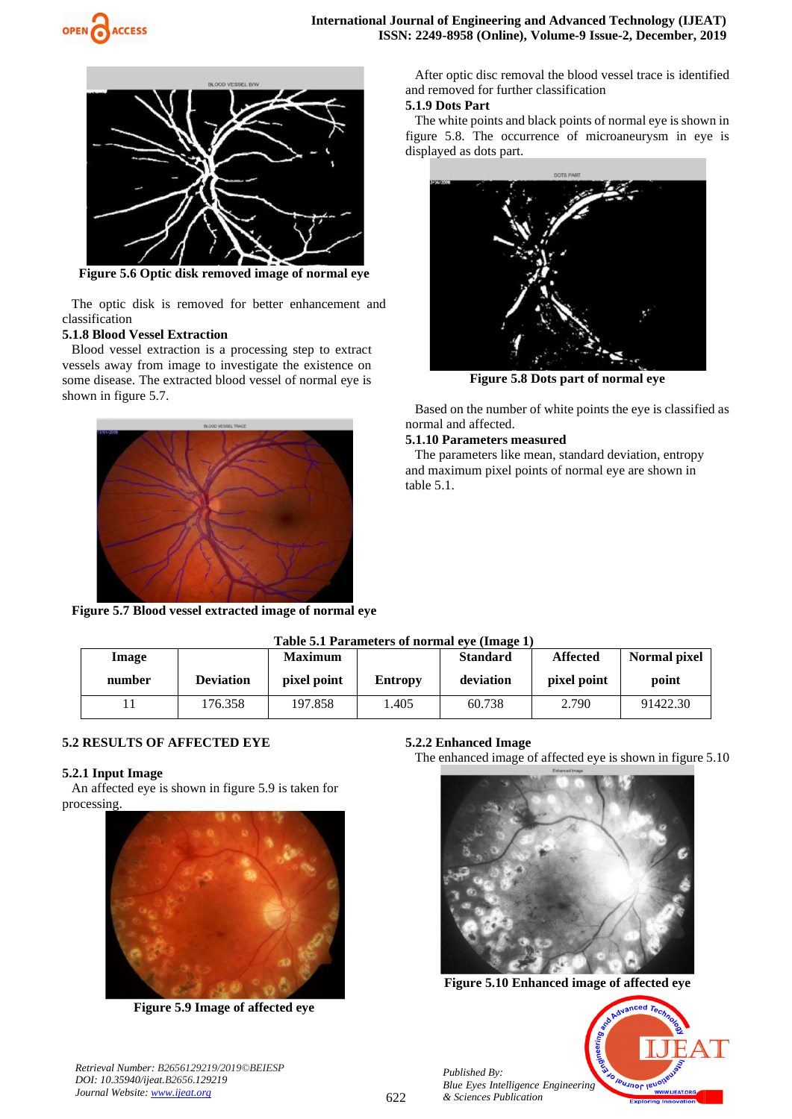



**Figure 5.6 Optic disk removed image of normal eye**

The optic disk is removed for better enhancement and classification

#### **5.1.8 Blood Vessel Extraction**

Blood vessel extraction is a processing step to extract vessels away from image to investigate the existence on some disease. The extracted blood vessel of normal eye is shown in figure 5.7.



**Figure 5.7 Blood vessel extracted image of normal eye**

After optic disc removal the blood vessel trace is identified and removed for further classification

# **5.1.9 Dots Part**

The white points and black points of normal eye is shown in figure 5.8. The occurrence of microaneurysm in eye is displayed as dots part.



**Figure 5.8 Dots part of normal eye**

Based on the number of white points the eye is classified as normal and affected.

#### **5.1.10 Parameters measured**

The parameters like mean, standard deviation, entropy and maximum pixel points of normal eye are shown in table 5.1.

| Table 5.1 Parameters of normal eve (Image 1) |                  |                |         |                 |                 |              |
|----------------------------------------------|------------------|----------------|---------|-----------------|-----------------|--------------|
| Image                                        |                  | <b>Maximum</b> |         | <b>Standard</b> | <b>Affected</b> | Normal pixel |
| number                                       | <b>Deviation</b> | pixel point    | Entropy | deviation       | pixel point     | point        |
|                                              | 176.358          | 197.858        | 1.405   | 60.738          | 2.790           | 91422.30     |

### **5.2 RESULTS OF AFFECTED EYE**

#### **5.2.1 Input Image**

An affected eye is shown in figure 5.9 is taken for processing.



**Figure 5.9 Image of affected eye**

**5.2.2 Enhanced Image**

*Published By:*

*& Sciences Publication* 

The enhanced image of affected eye is shown in figure 5.10



**Figure 5.10 Enhanced image of affected eye**

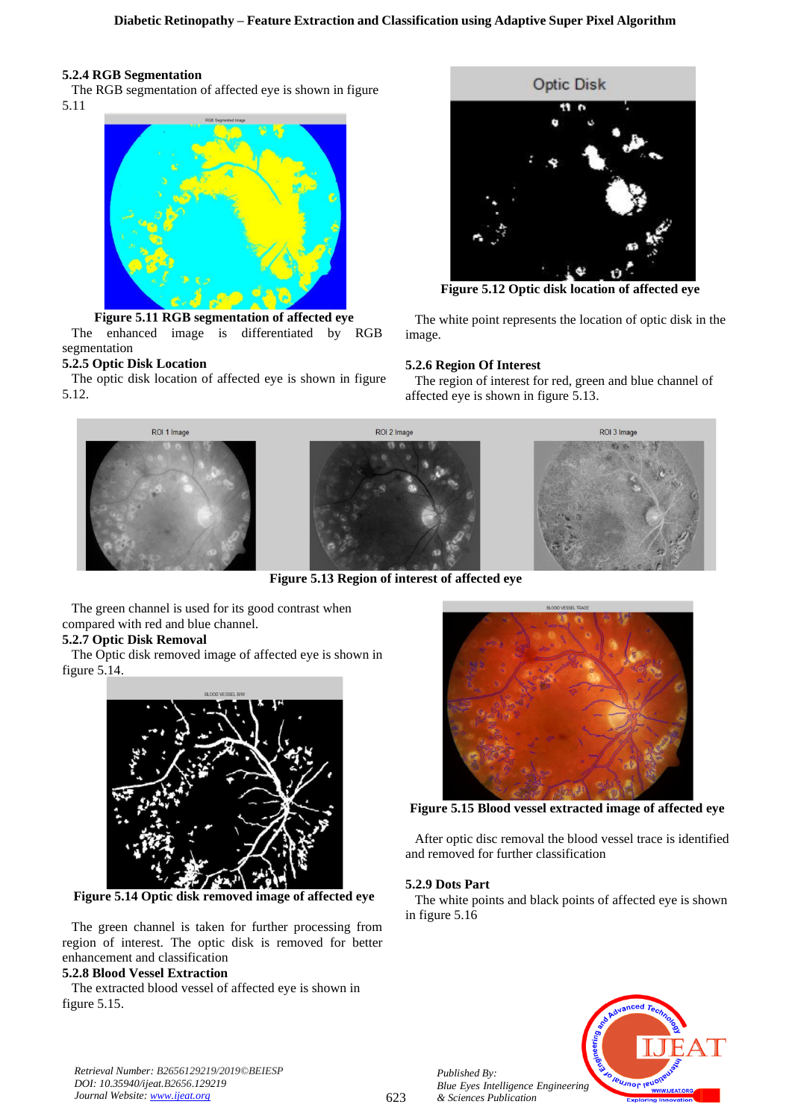# **5.2.4 RGB Segmentation**

The RGB segmentation of affected eye is shown in figure 5.11



**Figure 5.11 RGB segmentation of affected eye** The enhanced image is differentiated by RGB segmentation

# **5.2.5 Optic Disk Location**

The optic disk location of affected eye is shown in figure 5.12.



**Figure 5.12 Optic disk location of affected eye**

The white point represents the location of optic disk in the image.

# **5.2.6 Region Of Interest**

The region of interest for red, green and blue channel of affected eye is shown in figure 5.13.



**Figure 5.13 Region of interest of affected eye**

The green channel is used for its good contrast when compared with red and blue channel.

# **5.2.7 Optic Disk Removal**

The Optic disk removed image of affected eye is shown in figure 5.14.



**Figure 5.14 Optic disk removed image of affected eye**

The green channel is taken for further processing from region of interest. The optic disk is removed for better enhancement and classification

# **5.2.8 Blood Vessel Extraction**

The extracted blood vessel of affected eye is shown in figure 5.15.



**Figure 5.15 Blood vessel extracted image of affected eye**

After optic disc removal the blood vessel trace is identified and removed for further classification

### **5.2.9 Dots Part**

*Published By:*

*& Sciences Publication* 

The white points and black points of affected eye is shown in figure 5.16

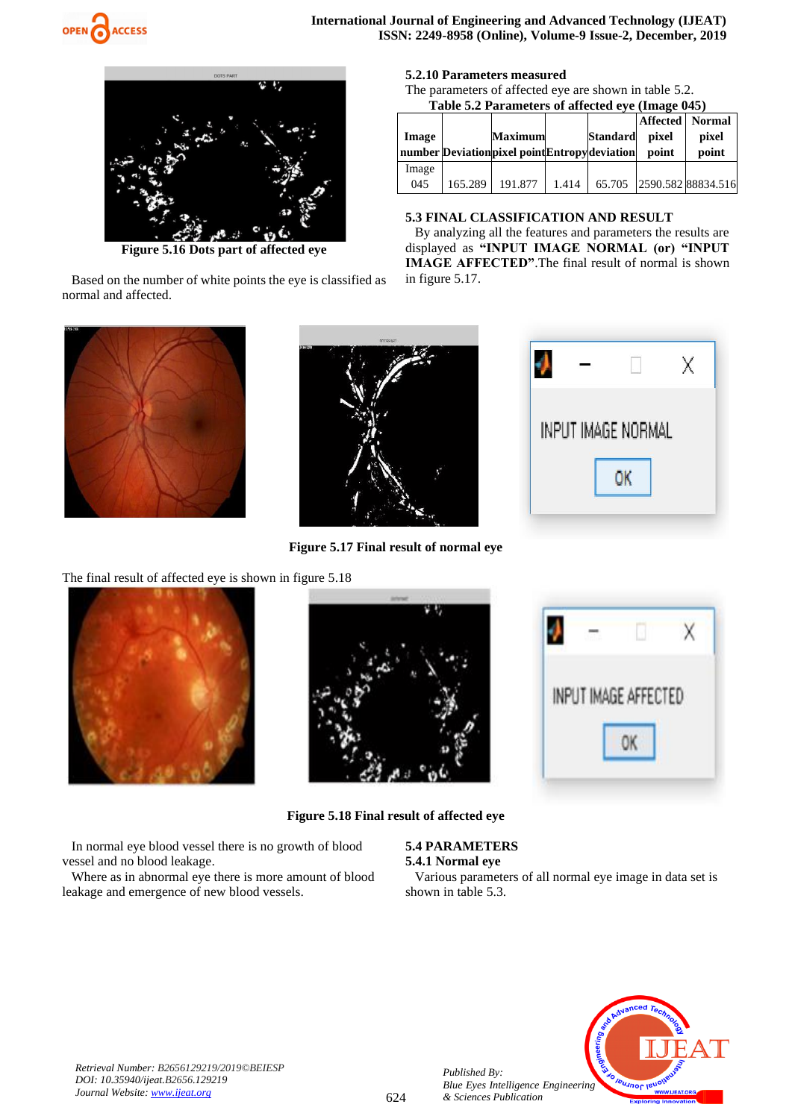



**Figure 5.16 Dots part of affected eye**

Based on the number of white points the eye is classified as normal and affected.



**Figure 5.17 Final result of normal eye**

| <b>5.2.10 Parameters measured</b> |  |
|-----------------------------------|--|
|-----------------------------------|--|

The parameters of affected eye are shown in table 5.2. **Table 5.2 Parameters of affected eye (Image 045)**

| Image |         | <b>Maximum</b><br>number Deviation pixel point Entropy deviation |       | <b>Standard</b> | pixel<br>point | <b>Affected</b> Normal<br>pixel<br>point |
|-------|---------|------------------------------------------------------------------|-------|-----------------|----------------|------------------------------------------|
| Image |         |                                                                  |       |                 |                |                                          |
| 045   | 165.289 | 191.877                                                          | 1.414 |                 |                | 65.705 2590.582 88834.516                |

#### **5.3 FINAL CLASSIFICATION AND RESULT**

By analyzing all the features and parameters the results are displayed as **"INPUT IMAGE NORMAL (or) "INPUT IMAGE AFFECTED"**.The final result of normal is shown in figure 5.17.

|  | INPUT IMAGE NORMAL |  |
|--|--------------------|--|
|  |                    |  |

INPUT IMAGE AFFECTED

0K

X

The final result of affected eye is shown in figure 5.18

In normal eye blood vessel there is no growth of blood

Where as in abnormal eye there is more amount of blood



vessel and no blood leakage.



**Figure 5.18 Final result of affected eye**

**5.4 PARAMETERS**

# **5.4.1 Normal eye**

*Published By:*

*& Sciences Publication* 

Various parameters of all normal eye image in data set is shown in table 5.3.



*Retrieval Number: B2656129219/2019©BEIESP DOI: 10.35940/ijeat.B2656.129219 Journal Website[: www.ijeat.org](http://www.ijeat.org/)*

leakage and emergence of new blood vessels.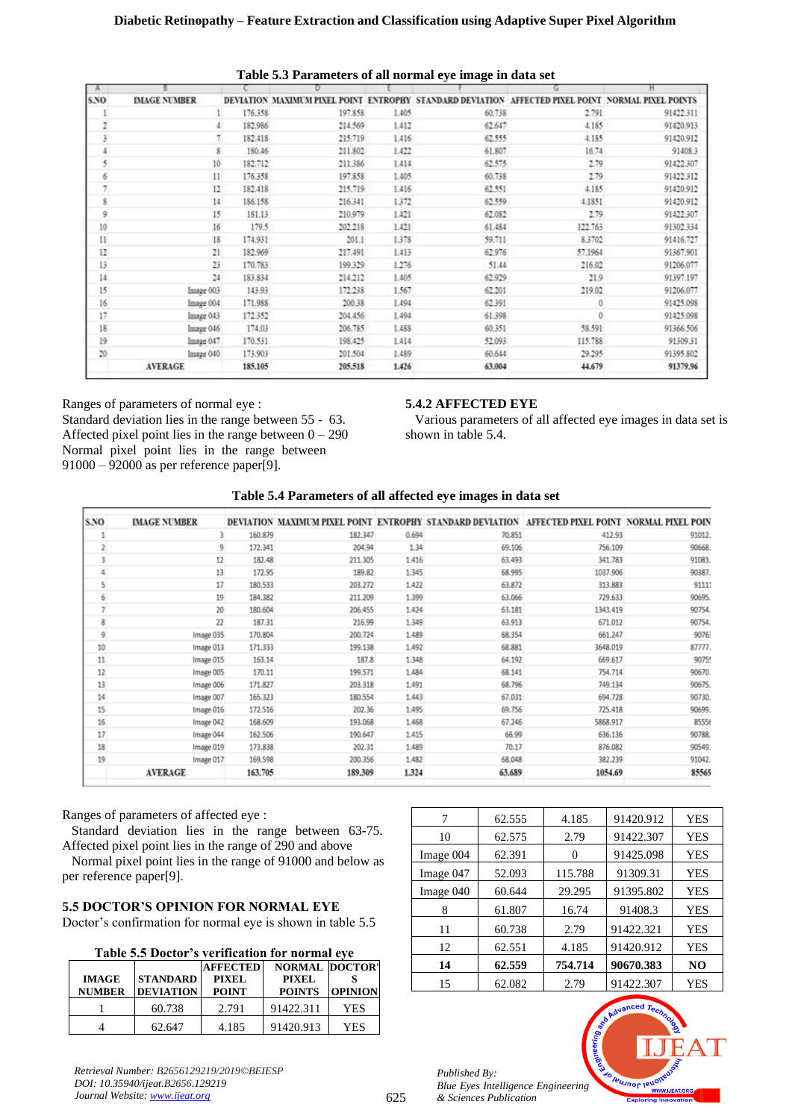| A               |                     |         |                                        |       | ັ                  | ь                                        | Ħ         |
|-----------------|---------------------|---------|----------------------------------------|-------|--------------------|------------------------------------------|-----------|
| S.NO            | <b>IMAGE NUMBER</b> |         | DEVIATION MAXIMUM PIXEL POINT ENTROPHY |       | STANDARD DEVIATION | AFFECTED PIXEL POINT NORMAL PIXEL POINTS |           |
|                 |                     | 176.358 | 197.858                                | 1.405 | 60.738             | 2.791                                    | 91422.311 |
|                 |                     | 182.986 | 214.569                                | 1.412 | 62.647             | 4.185                                    | 91420.913 |
|                 |                     | 182.418 | 215.719                                | 1.416 | 62.555             | 4.185                                    | 91420.912 |
|                 | 8                   | 180.46  | 211.802                                | 1.422 | 61.807             | 16.74                                    | 91408.3   |
|                 | 10                  | 182.712 | 211.386                                | 1.414 | 62.575             | 2.79                                     | 91422.307 |
| 6               | 11                  | 176.358 | 197.858                                | 1.405 | 60.738             | 2.79                                     | 91422.312 |
| 7               | 12                  | 182.418 | 215.719                                | 1.416 | 62.551             | 4.185                                    | 91420.912 |
| 8               | 14                  | 186.158 | 216.341                                | 1.372 | 62.559             | 4.1851                                   | 91420.912 |
| 9               | 15                  | 181.13  | 210.979                                | 1.421 | 62.082             | 2.79                                     | 91422.307 |
| 10              | 16                  | 179.5   | 202.218                                | 1.421 | 61.484             | 122.763                                  | 91302.334 |
| 11              | 18                  | 174.931 | 201.1                                  | 1.378 | 59.711             | 8.3702                                   | 91416.727 |
| 12              | 21                  | 182.969 | 217.491                                | 1.413 | 62.976             | 57.1964                                  | 91367.901 |
| 13              | 23                  | 170.783 | 199.329                                | 1.276 | 51.44              | 216.02                                   | 91206.077 |
| 14              | $^{24}$             | 183.834 | 214.212                                | 1.405 | 62.929             | 21.9                                     | 91397.197 |
| 15              | Image 003           | 143.93  | 172.238                                | 1.567 | 62.201             | 219.02                                   | 91206.077 |
| 16              | Image 004           | 171.988 | 200.38                                 | 1.494 | 62.391             | Ô                                        | 91425.098 |
| 17              | Image 043           | 172.352 | 204.456                                | 1.494 | 61.398             |                                          | 91425.098 |
| 18              | Image 046           | 174.03  | 206.785                                | 1.488 | 60.351             | 58.591                                   | 91366.506 |
| 19              | Image 047           | 170.531 | 198.425                                | 1.414 | 52.093             | 115.788                                  | 91309.31  |
| 20 <sub>1</sub> | Image 040           | 173,903 | 201.504                                | 1.489 | 60.644             | 29.295                                   | 91395.802 |
|                 | <b>AVERAGE</b>      | 185,105 | 205.518                                | 1.426 | 63.004             | 44.679                                   | 91379.96  |

**Table 5.3 Parameters of all normal eye image in data set**

Ranges of parameters of normal eye : Standard deviation lies in the range between 55 - 63. Affected pixel point lies in the range between  $0 - 290$ Normal pixel point lies in the range between 91000 – 92000 as per reference paper[9].

# **5.4.2 AFFECTED EYE**

Various parameters of all affected eye images in data set is shown in table 5.4.

# **Table 5.4 Parameters of all affected eye images in data set**

| S.NO | <b>IMAGE NUMBER</b> |         |         |       | DEVIATION MAXIMUM PIXEL POINT ENTROPHY STANDARD DEVIATION AFFECTED PIXEL POINT NORMAL PIXEL POIN |          |        |
|------|---------------------|---------|---------|-------|--------------------------------------------------------------------------------------------------|----------|--------|
|      | 3                   | 160.879 | 182.347 | 0.694 | 70.851                                                                                           | 412.93   | 91012  |
| 2    | 9                   | 172.341 | 204.94  | 1.34  | 69.106                                                                                           | 756.109  | 90668. |
| 3    | 12                  | 182.48  | 211.305 | 1.416 | 63.493                                                                                           | 341.783  | 91083. |
| 4    | 13                  | 172.95  | 189.82  | 1.345 | 68.995                                                                                           | 1037.906 | 90387. |
| 5    | 17                  | 180.533 | 203.272 | 1.422 | 63.872                                                                                           | 313.883  | 91111  |
| 6    | 19                  | 184.382 | 211.209 | 1.399 | 63.066                                                                                           | 729.633  | 90695. |
| 7    | 20                  | 180.604 | 206.455 | 1.424 | 63.181                                                                                           | 1343.419 | 90754  |
| 8    | $\mathbf{22}$       | 187.31  | 216.99  | 1.349 | 63.913                                                                                           | 671.012  | 90754. |
| 9    | Image 035           | 170.804 | 200.724 | 1.489 | 68.354                                                                                           | 661.247  | 9076:  |
| 10   | Image 013           | 171.333 | 199.138 | 1.492 | 68.881                                                                                           | 3648.019 | 87777. |
| 11   | Image 015           | 163.14  | 187.8   | 1.348 | 64.192                                                                                           | 669.617  | 90755  |
| 12   | Image 005           | 170.11  | 199.571 | 1.484 | 68.141                                                                                           | 754.714  | 90670. |
| 13   | Image 006           | 171.827 | 203.318 | 1.491 | 68.796                                                                                           | 749.134  | 90675. |
| 14   | Image 007           | 165.323 | 180.554 | 1.443 | 67.031                                                                                           | 694.728  | 90730. |
| 15   | Image 016           | 172.516 | 202.36  | 1.495 | 69.756                                                                                           | 725.418  | 90699. |
| 16   | Image 042           | 168.609 | 193.068 | 1.468 | 67.246                                                                                           | 5868.917 | 85556  |
| 17   | Image 044           | 162.506 | 190.647 | 1.415 | 66.99                                                                                            | 636.136  | 90788. |
| 18   | Image 019           | 173.838 | 202.31  | 1.489 | 70.17                                                                                            | 876.082  | 90549. |
| 19   | Image 017           | 169.598 | 200.356 | 1.482 | 68.048                                                                                           | 382.239  | 91042. |
|      | <b>AVERAGE</b>      | 163.705 | 189.309 | 1.324 | 63.689                                                                                           | 1054.69  | 85569  |

Ranges of parameters of affected eye :

Standard deviation lies in the range between 63-75. Affected pixel point lies in the range of 290 and above

Normal pixel point lies in the range of 91000 and below as per reference paper[9].

# **5.5 DOCTOR'S OPINION FOR NORMAL EYE**

Doctor's confirmation for normal eye is shown in table 5.5

| Table 5.5 Doctor's verification for normal eye |  |
|------------------------------------------------|--|
|------------------------------------------------|--|

| <b>IMAGE</b><br><b>NUMBER</b> | <b>STANDARD</b><br><b>DEVIATION</b> | <b>AFFECTED</b><br>PIXEL<br><b>POINT</b> | <b>NORMAL DOCTOR'</b><br><b>PIXEL</b><br><b>POINTS</b> | <b>OPINION</b> |
|-------------------------------|-------------------------------------|------------------------------------------|--------------------------------------------------------|----------------|
|                               | 60.738                              | 2.791                                    | 91422.311                                              | YES            |
|                               | 62.647                              | 4.185                                    | 91420.913                                              | YES            |

| 7         | 62.555 | 4.185    | 91420.912 | <b>YES</b>     |
|-----------|--------|----------|-----------|----------------|
| 10        | 62.575 | 2.79     | 91422.307 | <b>YES</b>     |
| Image 004 | 62.391 | $\theta$ | 91425.098 | YES            |
| Image 047 | 52.093 | 115.788  | 91309.31  | YES            |
| Image 040 | 60.644 | 29.295   | 91395.802 | YES            |
| 8         | 61.807 | 16.74    | 91408.3   | <b>YES</b>     |
| 11        | 60.738 | 2.79     | 91422.321 | YES            |
| 12        | 62.551 | 4.185    | 91420.912 | <b>YES</b>     |
| 14        | 62.559 | 754.714  | 90670.383 | N <sub>O</sub> |
| 15        | 62.082 | 2.79     | 91422.307 | YES            |
|           |        |          |           |                |

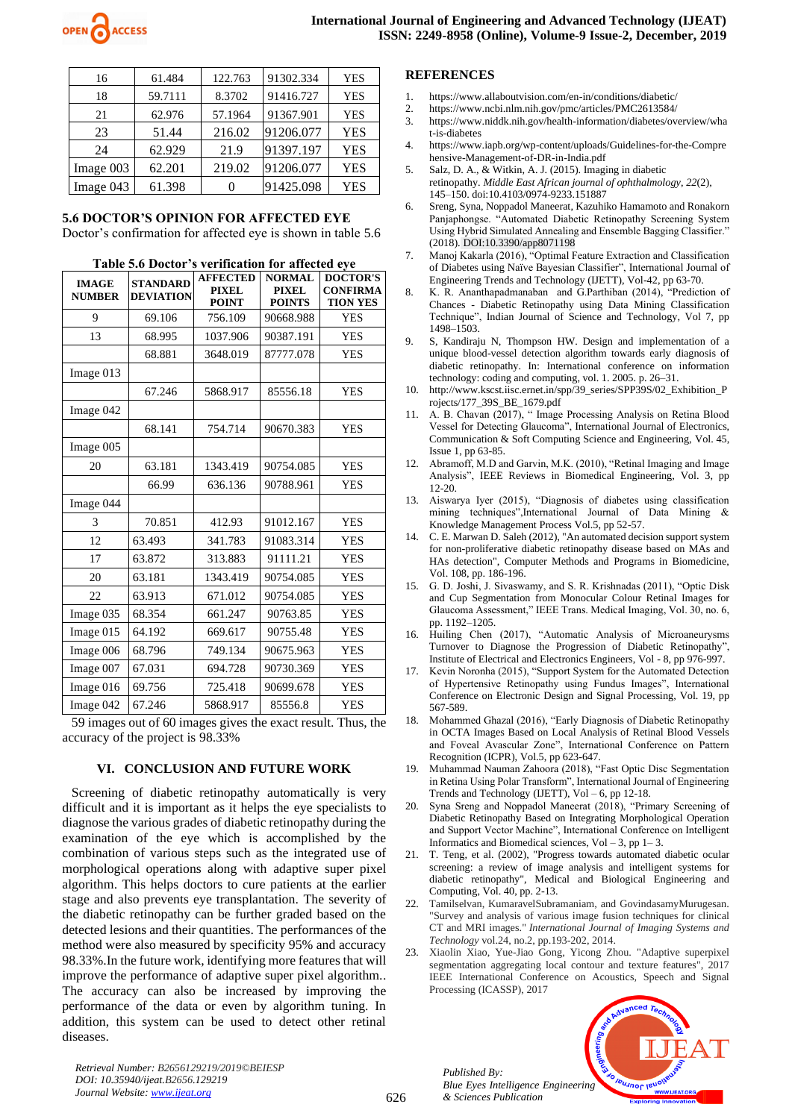

| 16        | 61.484  | 122.763 | 91302.334 | <b>YES</b> |
|-----------|---------|---------|-----------|------------|
| 18        | 59.7111 | 8.3702  | 91416.727 | <b>YES</b> |
| 21        | 62.976  | 57.1964 | 91367.901 | <b>YES</b> |
| 23        | 51.44   | 216.02  | 91206.077 | <b>YES</b> |
| 24        | 62.929  | 21.9    | 91397.197 | <b>YES</b> |
| Image 003 | 62.201  | 219.02  | 91206.077 | <b>YES</b> |
| Image 043 | 61.398  |         | 91425.098 | <b>YES</b> |

# **5.6 DOCTOR'S OPINION FOR AFFECTED EYE**

Doctor's confirmation for affected eye is shown in table 5.6

| <b>IMAGE</b><br><b>NUMBER</b> | <b>STANDARD</b><br><b>DEVIATION</b> | <b>AFFECTED</b><br><b>PIXEL</b><br><b>POINT</b> | <b>NORMAL</b><br><b>PIXEL</b><br><b>POINTS</b> | <b>DOCTOR'S</b><br><b>CONFIRMA</b><br><b>TION YES</b> |
|-------------------------------|-------------------------------------|-------------------------------------------------|------------------------------------------------|-------------------------------------------------------|
| 9                             | 69.106                              | 756.109                                         | 90668.988                                      | <b>YES</b>                                            |
| 13                            | 68.995                              | 1037.906                                        | 90387.191                                      | <b>YES</b>                                            |
|                               | 68.881                              | 3648.019                                        | 87777.078                                      | <b>YES</b>                                            |
| Image 013                     |                                     |                                                 |                                                |                                                       |
|                               | 67.246                              | 5868.917                                        | 85556.18                                       | <b>YES</b>                                            |
| Image 042                     |                                     |                                                 |                                                |                                                       |
|                               | 68.141                              | 754.714                                         | 90670.383                                      | <b>YES</b>                                            |
| Image 005                     |                                     |                                                 |                                                |                                                       |
| 20                            | 63.181                              | 1343.419                                        | 90754.085                                      | <b>YES</b>                                            |
|                               | 66.99                               | 636.136                                         | 90788.961                                      | <b>YES</b>                                            |
| Image 044                     |                                     |                                                 |                                                |                                                       |
| 3                             | 70.851                              | 412.93                                          | 91012.167                                      | <b>YES</b>                                            |
| 12                            | 63.493                              | 341.783                                         | 91083.314                                      | <b>YES</b>                                            |
| 17                            | 63.872                              | 313.883                                         | 91111.21                                       | <b>YES</b>                                            |
| 20                            | 63.181                              | 1343.419                                        | 90754.085                                      | <b>YES</b>                                            |
| 22                            | 63.913                              | 671.012                                         | 90754.085                                      | <b>YES</b>                                            |
| Image 035                     | 68.354                              | 661.247                                         | 90763.85                                       | <b>YES</b>                                            |
| Image 015                     | 64.192                              | 669.617                                         | 90755.48                                       | <b>YES</b>                                            |
| Image 006                     | 68.796                              | 749.134                                         | 90675.963                                      | <b>YES</b>                                            |
| Image 007                     | 67.031                              | 694.728                                         | 90730.369                                      | <b>YES</b>                                            |
| Image 016                     | 69.756                              | 725.418                                         | 90699.678                                      | <b>YES</b>                                            |
| Image 042                     | 67.246                              | 5868.917                                        | 85556.8                                        | <b>YES</b>                                            |

#### **Table 5.6 Doctor's verification for affected eye**

59 images out of 60 images gives the exact result. Thus, the accuracy of the project is 98.33%

#### **VI. CONCLUSION AND FUTURE WORK**

Screening of diabetic retinopathy automatically is very difficult and it is important as it helps the eye specialists to diagnose the various grades of diabetic retinopathy during the examination of the eye which is accomplished by the combination of various steps such as the integrated use of morphological operations along with adaptive super pixel algorithm. This helps doctors to cure patients at the earlier stage and also prevents eye transplantation. The severity of the diabetic retinopathy can be further graded based on the detected lesions and their quantities. The performances of the method were also measured by specificity 95% and accuracy 98.33%.In the future work, identifying more features that will improve the performance of adaptive super pixel algorithm.. The accuracy can also be increased by improving the performance of the data or even by algorithm tuning. In addition, this system can be used to detect other retinal diseases.

# **REFERENCES**

- 1. https://www.allaboutvision.com/en-in/conditions/diabetic/
- 2. https://www.ncbi.nlm.nih.gov/pmc/articles/PMC2613584/
- 3. https://www.niddk.nih.gov/health-information/diabetes/overview/wha t-is-diabetes
- 4. https://www.iapb.org/wp-content/uploads/Guidelines-for-the-Compre hensive-Management-of-DR-in-India.pdf
- 5. Salz, D. A., & Witkin, A. J. (2015). Imaging in diabetic retinopathy. *Middle East African journal of ophthalmology*, *22*(2), 145–150. doi:10.4103/0974-9233.151887
- 6. Sreng, Syna, Noppadol Maneerat, Kazuhiko Hamamoto and Ronakorn Panjaphongse. "Automated Diabetic Retinopathy Screening System Using Hybrid Simulated Annealing and Ensemble Bagging Classifier." (2018). DOI:10.3390/app8071198
- 7. Manoj Kakarla (2016), "Optimal Feature Extraction and Classification of Diabetes using Naïve Bayesian Classifier", International Journal of Engineering Trends and Technology (IJETT), Vol-42, pp 63-70.
- 8. K. R. Ananthapadmanaban and G.Parthiban (2014), "Prediction of Chances - Diabetic Retinopathy using Data Mining Classification Technique", Indian Journal of Science and Technology, Vol 7, pp 1498–1503.
- 9. S, Kandiraju N, Thompson HW. Design and implementation of a unique blood-vessel detection algorithm towards early diagnosis of diabetic retinopathy. In: International conference on information technology: coding and computing, vol. 1. 2005. p. 26–31.
- 10. http://www.kscst.iisc.ernet.in/spp/39\_series/SPP39S/02\_Exhibition\_P rojects/177\_39S\_BE\_1679.pdf
- 11. A. B. Chavan (2017), " Image Processing Analysis on Retina Blood Vessel for Detecting Glaucoma", International Journal of Electronics, Communication & Soft Computing Science and Engineering[, Vol. 45,](http://www.jfoodprotection.org/toc/food/45/1)  [Issue 1, p](http://www.jfoodprotection.org/toc/food/45/1)p 63-85.
- 12. Abramoff, M.D and Garvin, M.K. (2010), "Retinal Imaging and Image Analysis", IEEE Reviews in Biomedical Engineering, Vol. 3, pp 12-20.
- 13. Aiswarya Iyer (2015), "Diagnosis of diabetes using classification mining techniques",International Journal of Data Mining & Knowledge Management Process Vol.5, pp 52-57.
- 14. C. E. Marwan D. Saleh (2012), "An automated decision support system for non-proliferative diabetic retinopathy disease based on MAs and HAs detection", Computer Methods and Programs in Biomedicine, Vol. 108, pp. 186-196.
- 15. G. D. Joshi, J. Sivaswamy, and S. R. Krishnadas (2011), "Optic Disk and Cup Segmentation from Monocular Colour Retinal Images for Glaucoma Assessment," IEEE Trans. Medical Imaging, Vol. 30, no. 6, pp. 1192–1205.
- 16. Huiling Chen (2017), "Automatic Analysis of Microaneurysms Turnover to Diagnose the Progression of Diabetic Retinopathy", Institute of Electrical and Electronics Engineers, Vol - 8, pp 976-997.
- 17. Kevin Noronha (2015), "Support System for the Automated Detection of Hypertensive Retinopathy using Fundus Images", International Conference on Electronic Design and Signal Processing, Vol. 19, pp 567-589.
- Mohammed Ghazal (2016), "Early Diagnosis of Diabetic Retinopathy in OCTA Images Based on Local Analysis of Retinal Blood Vessels and Foveal Avascular Zone", International Conference on Pattern Recognition (ICPR), Vol.5, pp 623-647.
- 19. Muhammad Nauman Zahoora (2018), "Fast Optic Disc Segmentation in Retina Using Polar Transform", International Journal of Engineering Trends and Technology (IJETT),  $Vol - 6$ , pp 12-18.
- 20. Syna Sreng and Noppadol Maneerat (2018), "Primary Screening of Diabetic Retinopathy Based on Integrating Morphological Operation and Support Vector Machine", International Conference on Intelligent Informatics and Biomedical sciences, Vol – 3, pp  $1-3$ .
- 21. T. Teng, et al. (2002), "Progress towards automated diabetic ocular screening: a review of image analysis and intelligent systems for diabetic retinopathy", Medical and Biological Engineering and Computing, Vol. 40, pp. 2-13.
- 22. Tamilselvan, KumaravelSubramaniam, and GovindasamyMurugesan. "Survey and analysis of various image fusion techniques for clinical CT and MRI images." *International Journal of Imaging Systems and Technology* vol.24, no.2, pp.193-202, 2014.
- 23. Xiaolin Xiao, Yue-Jiao Gong, Yicong Zhou. "Adaptive superpixel segmentation aggregating local contour and texture features", 2017 IEEE International Conference on Acoustics, Speech and Signal Processing (ICASSP), 2017

*Published By: Blue Eyes Intelligence Engineering & Sciences Publication*